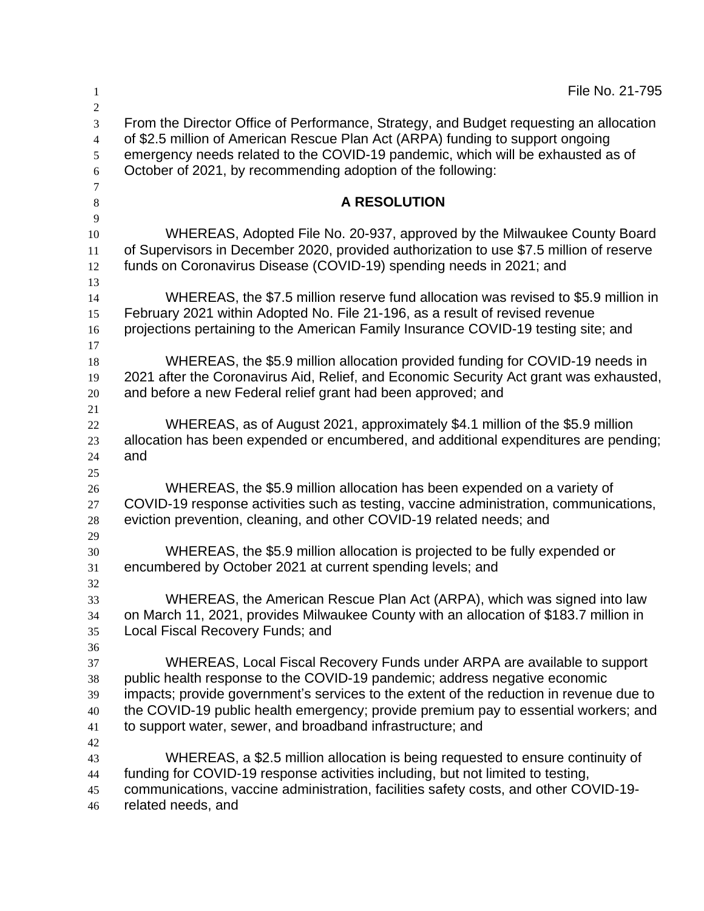| 1                                                    | File No. 21-795                                                                                                                                                                                                                                                                                                                                                                                        |
|------------------------------------------------------|--------------------------------------------------------------------------------------------------------------------------------------------------------------------------------------------------------------------------------------------------------------------------------------------------------------------------------------------------------------------------------------------------------|
| $\overline{2}$<br>3<br>$\overline{4}$<br>5<br>6<br>7 | From the Director Office of Performance, Strategy, and Budget requesting an allocation<br>of \$2.5 million of American Rescue Plan Act (ARPA) funding to support ongoing<br>emergency needs related to the COVID-19 pandemic, which will be exhausted as of<br>October of 2021, by recommending adoption of the following:                                                                             |
| $8\phantom{1}$                                       | <b>A RESOLUTION</b>                                                                                                                                                                                                                                                                                                                                                                                    |
| 9<br>10<br>11<br>12<br>13                            | WHEREAS, Adopted File No. 20-937, approved by the Milwaukee County Board<br>of Supervisors in December 2020, provided authorization to use \$7.5 million of reserve<br>funds on Coronavirus Disease (COVID-19) spending needs in 2021; and                                                                                                                                                             |
| 14<br>15<br>16                                       | WHEREAS, the \$7.5 million reserve fund allocation was revised to \$5.9 million in<br>February 2021 within Adopted No. File 21-196, as a result of revised revenue<br>projections pertaining to the American Family Insurance COVID-19 testing site; and                                                                                                                                               |
| 17<br>18<br>19<br>20                                 | WHEREAS, the \$5.9 million allocation provided funding for COVID-19 needs in<br>2021 after the Coronavirus Aid, Relief, and Economic Security Act grant was exhausted,<br>and before a new Federal relief grant had been approved; and                                                                                                                                                                 |
| 21<br>22<br>23<br>24                                 | WHEREAS, as of August 2021, approximately \$4.1 million of the \$5.9 million<br>allocation has been expended or encumbered, and additional expenditures are pending;<br>and                                                                                                                                                                                                                            |
| 25<br>26<br>27<br>28                                 | WHEREAS, the \$5.9 million allocation has been expended on a variety of<br>COVID-19 response activities such as testing, vaccine administration, communications,<br>eviction prevention, cleaning, and other COVID-19 related needs; and                                                                                                                                                               |
| 29<br>30<br>31                                       | WHEREAS, the \$5.9 million allocation is projected to be fully expended or<br>encumbered by October 2021 at current spending levels; and                                                                                                                                                                                                                                                               |
| 32<br>33<br>34<br>35                                 | WHEREAS, the American Rescue Plan Act (ARPA), which was signed into law<br>on March 11, 2021, provides Milwaukee County with an allocation of \$183.7 million in<br>Local Fiscal Recovery Funds; and                                                                                                                                                                                                   |
| 36<br>37<br>38<br>39<br>40<br>41                     | WHEREAS, Local Fiscal Recovery Funds under ARPA are available to support<br>public health response to the COVID-19 pandemic; address negative economic<br>impacts; provide government's services to the extent of the reduction in revenue due to<br>the COVID-19 public health emergency; provide premium pay to essential workers; and<br>to support water, sewer, and broadband infrastructure; and |
| 42<br>43<br>44<br>45<br>46                           | WHEREAS, a \$2.5 million allocation is being requested to ensure continuity of<br>funding for COVID-19 response activities including, but not limited to testing,<br>communications, vaccine administration, facilities safety costs, and other COVID-19-<br>related needs, and                                                                                                                        |